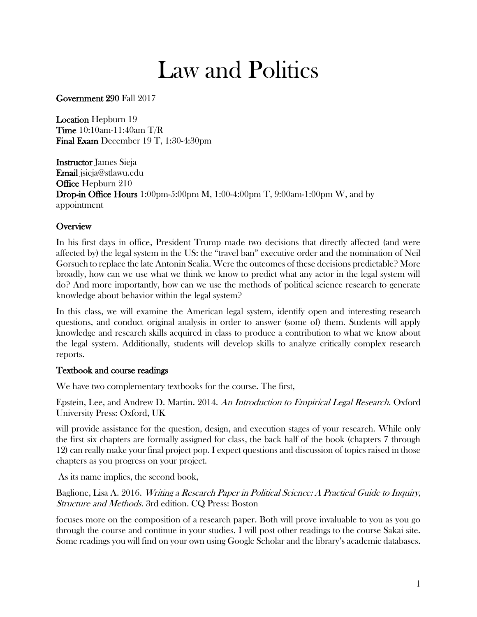# Law and Politics

Government 290 Fall 2017

Location Hepburn 19 Time 10:10am-11:40am T/R Final Exam December 19 T, 1:30-4:30pm

Instructor James Sieja Email jsieja@stlawu.edu Office Hepburn 210 **Drop-in Office Hours** 1:00pm-5:00pm M, 1:00-4:00pm T, 9:00am-1:00pm W, and by appointment

# **Overview**

In his first days in office, President Trump made two decisions that directly affected (and were affected by) the legal system in the US: the "travel ban" executive order and the nomination of Neil Gorsuch to replace the late Antonin Scalia. Were the outcomes of these decisions predictable? More broadly, how can we use what we think we know to predict what any actor in the legal system will do? And more importantly, how can we use the methods of political science research to generate knowledge about behavior within the legal system?

In this class, we will examine the American legal system, identify open and interesting research questions, and conduct original analysis in order to answer (some of) them. Students will apply knowledge and research skills acquired in class to produce a contribution to what we know about the legal system. Additionally, students will develop skills to analyze critically complex research reports.

### Textbook and course readings

We have two complementary textbooks for the course. The first,

Epstein, Lee, and Andrew D. Martin. 2014. An Introduction to Empirical Legal Research. Oxford University Press: Oxford, UK

will provide assistance for the question, design, and execution stages of your research. While only the first six chapters are formally assigned for class, the back half of the book (chapters 7 through 12) can really make your final project pop. I expect questions and discussion of topics raised in those chapters as you progress on your project.

As its name implies, the second book,

Baglione, Lisa A. 2016. *Writing a Research Paper in Political Science: A Practical Guide to Inquiry*, Structure and Methods. 3rd edition. CQ Press: Boston

focuses more on the composition of a research paper. Both will prove invaluable to you as you go through the course and continue in your studies. I will post other readings to the course Sakai site. Some readings you will find on your own using Google Scholar and the library's academic databases.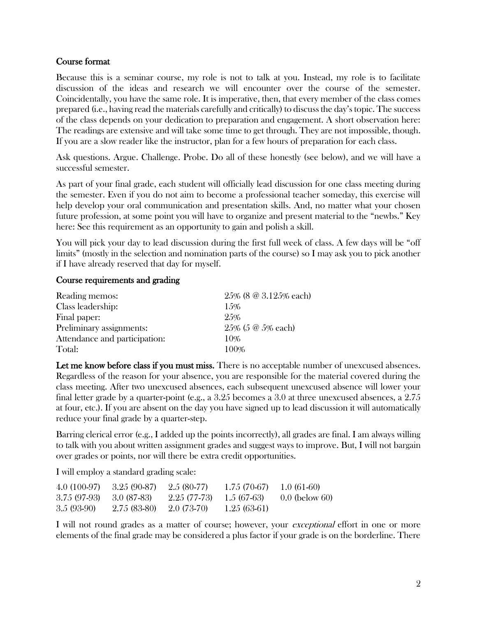### Course format

Because this is a seminar course, my role is not to talk at you. Instead, my role is to facilitate discussion of the ideas and research we will encounter over the course of the semester. Coincidentally, you have the same role. It is imperative, then, that every member of the class comes prepared (i.e., having read the materials carefully and critically) to discuss the day's topic. The success of the class depends on your dedication to preparation and engagement. A short observation here: The readings are extensive and will take some time to get through. They are not impossible, though. If you are a slow reader like the instructor, plan for a few hours of preparation for each class.

Ask questions. Argue. Challenge. Probe. Do all of these honestly (see below), and we will have a successful semester.

As part of your final grade, each student will officially lead discussion for one class meeting during the semester. Even if you do not aim to become a professional teacher someday, this exercise will help develop your oral communication and presentation skills. And, no matter what your chosen future profession, at some point you will have to organize and present material to the "newbs." Key here: See this requirement as an opportunity to gain and polish a skill.

You will pick your day to lead discussion during the first full week of class. A few days will be "off limits" (mostly in the selection and nomination parts of the course) so I may ask you to pick another if I have already reserved that day for myself.

### Course requirements and grading

| Reading memos:                | $25\%$ (8 @ 3.125% each) |
|-------------------------------|--------------------------|
| Class leadership:             | 15%                      |
| Final paper:                  | 25%                      |
| Preliminary assignments:      | $25\%$ (5 @ 5% each)     |
| Attendance and participation: | 10%                      |
| Total:                        | 100%                     |

Let me know before class if you must miss. There is no acceptable number of unexcused absences. Regardless of the reason for your absence, you are responsible for the material covered during the class meeting. After two unexcused absences, each subsequent unexcused absence will lower your final letter grade by a quarter-point (e.g., a 3.25 becomes a 3.0 at three unexcused absences, a 2.75 at four, etc.). If you are absent on the day you have signed up to lead discussion it will automatically reduce your final grade by a quarter-step.

Barring clerical error (e.g., I added up the points incorrectly), all grades are final. I am always willing to talk with you about written assignment grades and suggest ways to improve. But, I will not bargain over grades or points, nor will there be extra credit opportunities.

I will employ a standard grading scale:

| 4.0 (100-97) | 3.25 (90-87)  | $2.5(80-77)$ | $1.75(70-67)$ | 1.0 $(61-60)$    |
|--------------|---------------|--------------|---------------|------------------|
| 3.75 (97-93) | - 3.0 (87-83) | 2.25 (77-73) | $1.5(67-63)$  | $0.0$ (below 60) |
| $3.5(93-90)$ | $2.75(83-80)$ | 2.0 (73-70)  | $1.25(63-61)$ |                  |

I will not round grades as a matter of course; however, your *exceptional* effort in one or more elements of the final grade may be considered a plus factor if your grade is on the borderline. There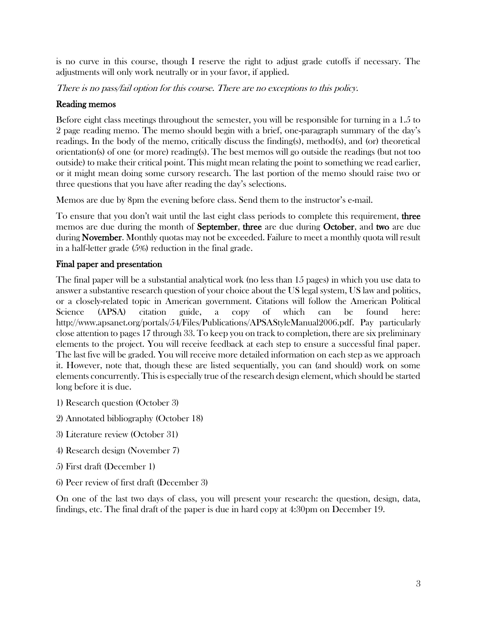is no curve in this course, though I reserve the right to adjust grade cutoffs if necessary. The adjustments will only work neutrally or in your favor, if applied.

There is no pass/fail option for this course. There are no exceptions to this policy.

# Reading memos

Before eight class meetings throughout the semester, you will be responsible for turning in a 1.5 to 2 page reading memo. The memo should begin with a brief, one-paragraph summary of the day's readings. In the body of the memo, critically discuss the finding(s), method(s), and (or) theoretical orientation(s) of one (or more) reading(s). The best memos will go outside the readings (but not too outside) to make their critical point. This might mean relating the point to something we read earlier, or it might mean doing some cursory research. The last portion of the memo should raise two or three questions that you have after reading the day's selections.

Memos are due by 8pm the evening before class. Send them to the instructor's e-mail.

To ensure that you don't wait until the last eight class periods to complete this requirement, **three** memos are due during the month of September, three are due during October, and two are due during November. Monthly quotas may not be exceeded. Failure to meet a monthly quota will result in a half-letter grade (5%) reduction in the final grade.

# Final paper and presentation

The final paper will be a substantial analytical work (no less than 15 pages) in which you use data to answer a substantive research question of your choice about the US legal system, US law and politics, or a closely-related topic in American government. Citations will follow the American Political Science (APSA) citation guide, a copy of which can be found here: http://www.apsanet.org/portals/54/Files/Publications/APSAStyleManual2006.pdf. Pay particularly close attention to pages 17 through 33. To keep you on track to completion, there are six preliminary elements to the project. You will receive feedback at each step to ensure a successful final paper. The last five will be graded. You will receive more detailed information on each step as we approach it. However, note that, though these are listed sequentially, you can (and should) work on some elements concurrently. This is especially true of the research design element, which should be started long before it is due.

- 1) Research question (October 3)
- 2) Annotated bibliography (October 18)
- 3) Literature review (October 31)
- 4) Research design (November 7)
- 5) First draft (December 1)
- 6) Peer review of first draft (December 3)

On one of the last two days of class, you will present your research: the question, design, data, findings, etc. The final draft of the paper is due in hard copy at 4:30pm on December 19.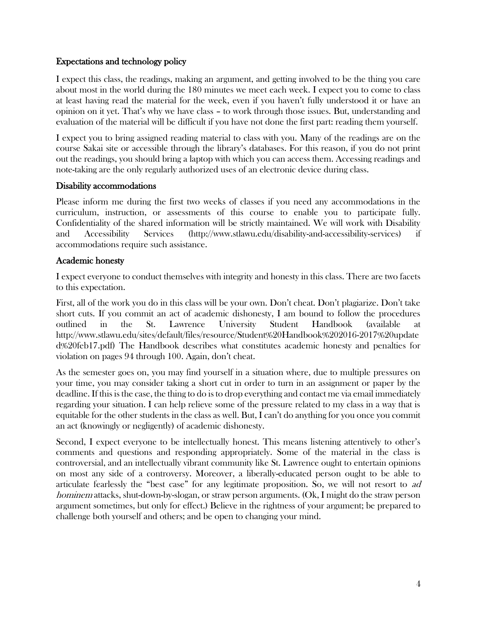### Expectations and technology policy

I expect this class, the readings, making an argument, and getting involved to be the thing you care about most in the world during the 180 minutes we meet each week. I expect you to come to class at least having read the material for the week, even if you haven't fully understood it or have an opinion on it yet. That's why we have class – to work through those issues. But, understanding and evaluation of the material will be difficult if you have not done the first part: reading them yourself.

I expect you to bring assigned reading material to class with you. Many of the readings are on the course Sakai site or accessible through the library's databases. For this reason, if you do not print out the readings, you should bring a laptop with which you can access them. Accessing readings and note-taking are the only regularly authorized uses of an electronic device during class.

#### Disability accommodations

Please inform me during the first two weeks of classes if you need any accommodations in the curriculum, instruction, or assessments of this course to enable you to participate fully. Confidentiality of the shared information will be strictly maintained. We will work with Disability and Accessibility Services (http://www.stlawu.edu/disability-and-accessibility-services) if accommodations require such assistance.

### Academic honesty

I expect everyone to conduct themselves with integrity and honesty in this class. There are two facets to this expectation.

First, all of the work you do in this class will be your own. Don't cheat. Don't plagiarize. Don't take short cuts. If you commit an act of academic dishonesty, I am bound to follow the procedures outlined in the St. Lawrence University Student Handbook (available at http://www.stlawu.edu/sites/default/files/resource/Student%20Handbook%202016-2017%20update d%20feb17.pdf) The Handbook describes what constitutes academic honesty and penalties for violation on pages 94 through 100. Again, don't cheat.

As the semester goes on, you may find yourself in a situation where, due to multiple pressures on your time, you may consider taking a short cut in order to turn in an assignment or paper by the deadline. If this is the case, the thing to do is to drop everything and contact me via email immediately regarding your situation. I can help relieve some of the pressure related to my class in a way that is equitable for the other students in the class as well. But, I can't do anything for you once you commit an act (knowingly or negligently) of academic dishonesty.

Second, I expect everyone to be intellectually honest. This means listening attentively to other's comments and questions and responding appropriately. Some of the material in the class is controversial, and an intellectually vibrant community like St. Lawrence ought to entertain opinions on most any side of a controversy. Moreover, a liberally-educated person ought to be able to articulate fearlessly the "best case" for any legitimate proposition. So, we will not resort to ad hominem attacks, shut-down-by-slogan, or straw person arguments. (Ok, I might do the straw person argument sometimes, but only for effect.) Believe in the rightness of your argument; be prepared to challenge both yourself and others; and be open to changing your mind.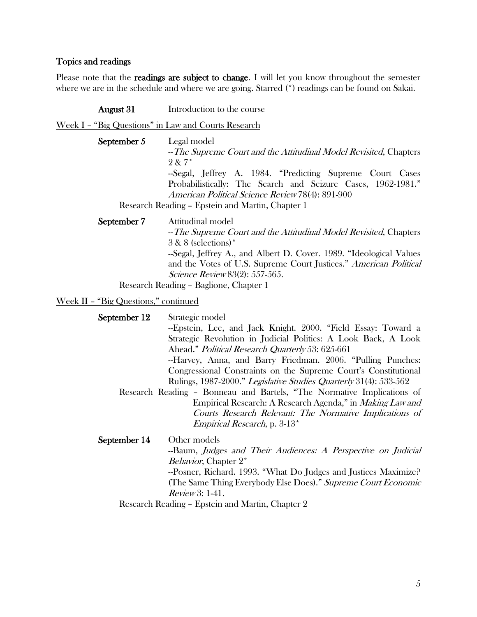# Topics and readings

Please note that the readings are subject to change. I will let you know throughout the semester where we are in the schedule and where we are going. Starred (\*) readings can be found on Sakai.

| August 31                                           | Introduction to the course                                                                                                                                                                                                                                                                                                       |
|-----------------------------------------------------|----------------------------------------------------------------------------------------------------------------------------------------------------------------------------------------------------------------------------------------------------------------------------------------------------------------------------------|
| Week I - "Big Questions" in Law and Courts Research |                                                                                                                                                                                                                                                                                                                                  |
| September 5                                         | Legal model<br>- The Supreme Court and the Attitudinal Model Revisited, Chapters<br>$2 & 7*$<br>-Segal, Jeffrey A. 1984. "Predicting Supreme Court Cases<br>Probabilistically: The Search and Seizure Cases, 1962-1981."<br>American Political Science Review 78(4): 891-900<br>Research Reading - Epstein and Martin, Chapter 1 |
| September 7                                         | Attitudinal model<br>- The Supreme Court and the Attitudinal Model Revisited, Chapters<br>$3 & 8$ (selections) <sup>*</sup><br>-Segal, Jeffrey A., and Albert D. Cover. 1989. "Ideological Values<br>and the Votes of U.S. Supreme Court Justices." American Political<br><i>Science Review</i> 83(2): 557-565.                  |
|                                                     | Research Reading - Baglione, Chapter 1                                                                                                                                                                                                                                                                                           |

#### Week II – "Big Questions," continued

| September 12 | Strategic model<br>-Epstein, Lee, and Jack Knight. 2000. "Field Essay: Toward a<br>Strategic Revolution in Judicial Politics: A Look Back, A Look<br>Ahead." Political Research Quarterly 53: 625-661<br>-Harvey, Anna, and Barry Friedman. 2006. "Pulling Punches:<br>Congressional Constraints on the Supreme Court's Constitutional<br>Rulings, 1987-2000." Legislative Studies Quarterly 31(4): 533-562<br>Research Reading - Bonneau and Bartels, "The Normative Implications of<br>Empirical Research: A Research Agenda," in <i>Making Law and</i><br>Courts Research Relevant: The Normative Implications of<br><i>Empirical Research</i> , p. 3-13 <sup>*</sup> |
|--------------|--------------------------------------------------------------------------------------------------------------------------------------------------------------------------------------------------------------------------------------------------------------------------------------------------------------------------------------------------------------------------------------------------------------------------------------------------------------------------------------------------------------------------------------------------------------------------------------------------------------------------------------------------------------------------|
| September 14 | Other models<br>-Baum, Judges and Their Audiences: A Perspective on Judicial<br><i>Behavior</i> , Chapter 2 <sup>*</sup><br>-Posner, Richard. 1993. "What Do Judges and Justices Maximize?<br>(The Same Thing Everybody Else Does)." Supreme Court Economic<br>$Review3:1-41.$                                                                                                                                                                                                                                                                                                                                                                                           |

Research Reading – Epstein and Martin, Chapter 2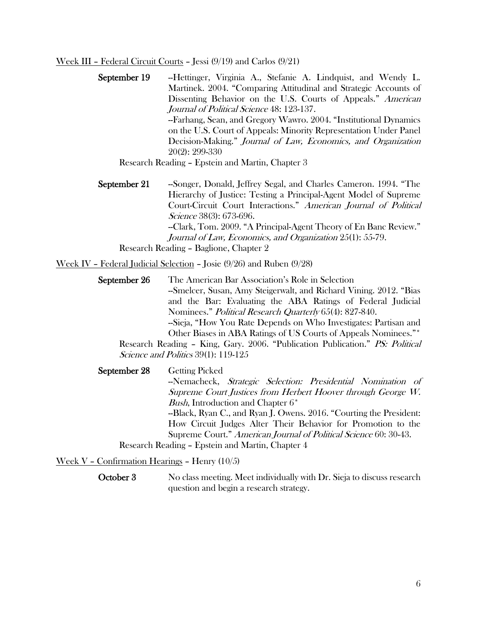#### Week III – Federal Circuit Courts – Jessi (9/19) and Carlos (9/21)

September 19 --Hettinger, Virginia A., Stefanie A. Lindquist, and Wendy L. Martinek. 2004. "Comparing Attitudinal and Strategic Accounts of Dissenting Behavior on the U.S. Courts of Appeals." American Journal of Political Science 48: 123-137. --Farhang, Sean, and Gregory Wawro. 2004. "Institutional Dynamics on the U.S. Court of Appeals: Minority Representation Under Panel Decision-Making." Journal of Law, Economics, and Organization 20(2): 299-330

Research Reading – Epstein and Martin, Chapter 3

September 21 --Songer, Donald, Jeffrey Segal, and Charles Cameron. 1994. "The Hierarchy of Justice: Testing a Principal-Agent Model of Supreme Court-Circuit Court Interactions." American Journal of Political Science 38(3): 673-696. --Clark, Tom. 2009. "A Principal-Agent Theory of En Banc Review." Journal of Law, Economics, and Organization 25(1): 55-79. Research Reading – Baglione, Chapter 2

Week IV – Federal Judicial Selection – Josie (9/26) and Ruben (9/28)

- September 26 The American Bar Association's Role in Selection --Smelcer, Susan, Amy Steigerwalt, and Richard Vining. 2012. "Bias and the Bar: Evaluating the ABA Ratings of Federal Judicial Nominees." Political Research Quarterly 65(4): 827-840. --Sieja, "How You Rate Depends on Who Investigates: Partisan and Other Biases in ABA Ratings of US Courts of Appeals Nominees."\* Research Reading – King, Gary. 2006. "Publication Publication." PS: Political Science and Politics 39(1): 119-125 September 28 Getting Picked
- -Nemacheck, Strategic Selection: Presidential Nomination of Supreme Court Justices from Herbert Hoover through George W. Bush, Introduction and Chapter 6<sup>\*</sup> --Black, Ryan C., and Ryan J. Owens. 2016. "Courting the President: How Circuit Judges Alter Their Behavior for Promotion to the Supreme Court." American Journal of Political Science 60: 30-43. Research Reading – Epstein and Martin, Chapter 4

Week V – Confirmation Hearings – Henry (10/5)

October 3 No class meeting. Meet individually with Dr. Sieja to discuss research question and begin a research strategy.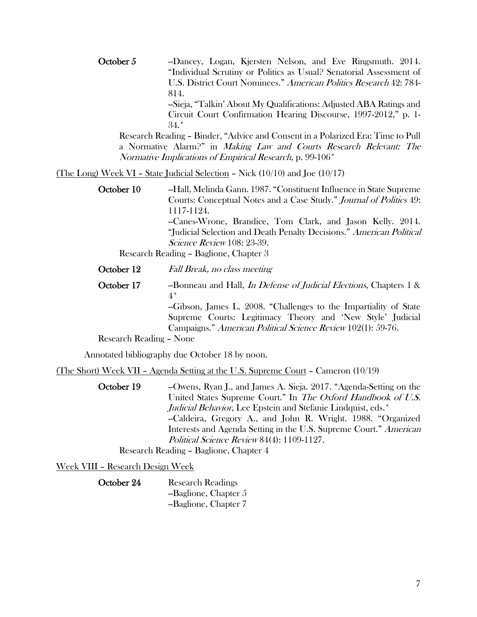October 5 --Dancey, Logan, Kjersten Nelson, and Eve Ringsmuth. 2014. "Individual Scrutiny or Politics as Usual? Senatorial Assessment of U.S. District Court Nominees." American Politics Research 42: 784- 814. --Sieja, "Talkin' About My Qualifications: Adjusted ABA Ratings and

Circuit Court Confirmation Hearing Discourse, 1997-2012," p. 1- 34.\*

Research Reading – Binder, "Advice and Consent in a Polarized Era: Time to Pull a Normative Alarm?" in Making Law and Courts Research Relevant: The Normative Implications of Empirical Research, p. 99-106\*

(The Long) Week VI – State Judicial Selection – Nick (10/10) and Joe (10/17)

October 10 --Hall, Melinda Gann. 1987. "Constituent Influence in State Supreme Courts: Conceptual Notes and a Case Study." Journal of Politics 49: 1117-1124. --Canes-Wrone, Brandice, Tom Clark, and Jason Kelly. 2014. "Judicial Selection and Death Penalty Decisions." American Political Science Review 108: 23-39.

Research Reading – Baglione, Chapter 3

- October 12 Fall Break, no class meeting
- October 17 --Bonneau and Hall, *In Defense of Judicial Elections*, Chapters 1 & 4\*

--Gibson, James L. 2008. "Challenges to the Impartiality of State Supreme Courts: Legitimacy Theory and 'New Style' Judicial Campaigns." American Political Science Review 102(1): 59-76.

Research Reading – None

Annotated bibliography due October 18 by noon.

(The Short) Week VII – Agenda Setting at the U.S. Supreme Court – Cameron (10/19)

October 19 -- Owens, Ryan J., and James A. Sieja. 2017. "Agenda-Setting on the United States Supreme Court." In The Oxford Handbook of U.S. Judicial Behavior, Lee Epstein and Stefanie Lindquist, eds.<sup>\*</sup> --Caldeira, Gregory A., and John R. Wright. 1988. "Organized Interests and Agenda Setting in the U.S. Supreme Court." American Political Science Review 84(4): 1109-1127. Research Reading – Baglione, Chapter 4

Week VIII – Research Design Week

October 24 Research Readings --Baglione, Chapter 5 --Baglione, Chapter 7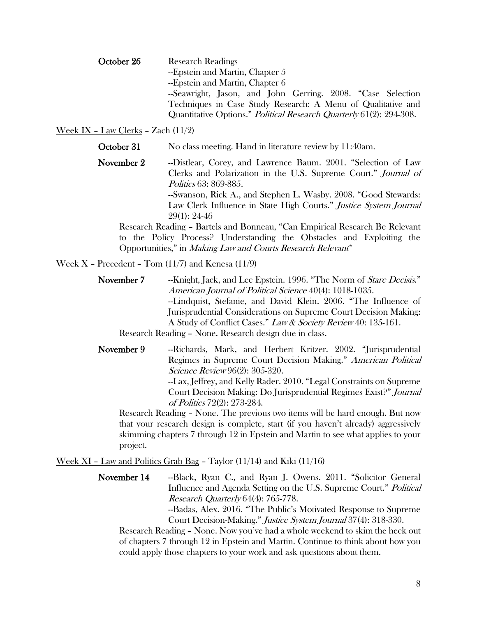October 26 Research Readings --Epstein and Martin, Chapter 5 --Epstein and Martin, Chapter 6 --Seawright, Jason, and John Gerring. 2008. "Case Selection Techniques in Case Study Research: A Menu of Qualitative and Quantitative Options." Political Research Quarterly 61(2): 294-308.

#### Week IX – Law Clerks – Zach (11/2)

October 31 No class meeting. Hand in literature review by 11:40am.

November 2 --Distlear, Corey, and Lawrence Baum. 2001. "Selection of Law Clerks and Polarization in the U.S. Supreme Court." Journal of Politics 63: 869-885. --Swanson, Rick A., and Stephen L. Wasby. 2008. "Good Stewards:

Law Clerk Influence in State High Courts." Justice System Journal 29(1): 24-46

Research Reading – Bartels and Bonneau, "Can Empirical Research Be Relevant to the Policy Process? Understanding the Obstacles and Exploiting the Opportunities," in Making Law and Courts Research Relevant\*

#### <u>Week X - Precedent</u> - Tom  $(11/7)$  and Kenesa  $(11/9)$

November 7 --Knight, Jack, and Lee Epstein. 1996. "The Norm of *Stare Decisis.*" American Journal of Political Science 40(4): 1018-1035. --Lindquist, Stefanie, and David Klein. 2006. "The Influence of Jurisprudential Considerations on Supreme Court Decision Making: A Study of Conflict Cases." Law & Society Review 40: 135-161.

Research Reading – None. Research design due in class.

November 9 --Richards, Mark, and Herbert Kritzer. 2002. "Jurisprudential Regimes in Supreme Court Decision Making." American Political Science Review 96(2): 305-320. --Lax, Jeffrey, and Kelly Rader. 2010. "Legal Constraints on Supreme Court Decision Making: Do Jurisprudential Regimes Exist?" Journal

of Politics 72(2): 273-284. Research Reading – None. The previous two items will be hard enough. But now that your research design is complete, start (if you haven't already) aggressively skimming chapters 7 through 12 in Epstein and Martin to see what applies to your

project.

<u>Week XI – Law and Politics Grab Bag</u> – Taylor  $(11/14)$  and Kiki  $(11/16)$ 

November 14 -- Black, Ryan C., and Ryan J. Owens. 2011. "Solicitor General Influence and Agenda Setting on the U.S. Supreme Court." Political Research Quarterly 64(4): 765-778.

--Badas, Alex. 2016. "The Public's Motivated Response to Supreme Court Decision-Making." Justice System Journal 37(4): 318-330.

Research Reading – None. Now you've had a whole weekend to skim the heck out of chapters 7 through 12 in Epstein and Martin. Continue to think about how you could apply those chapters to your work and ask questions about them.